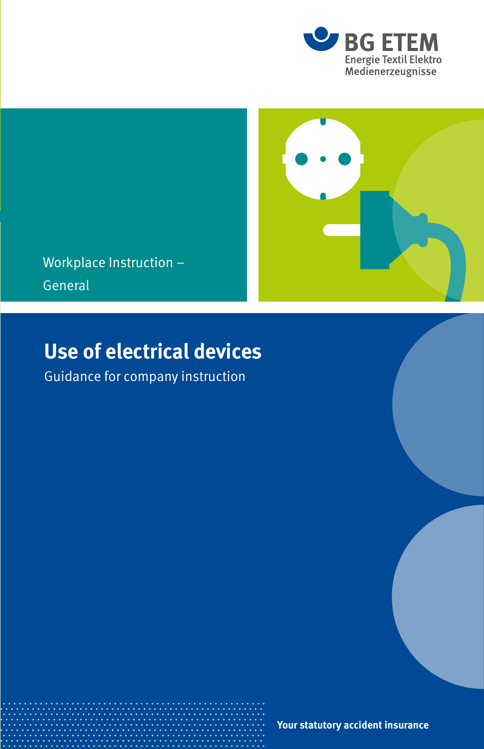



Workplace Instruction – General

# **Use of electrical devices**

Guidance for company instruction

**Your statutory accident insurance**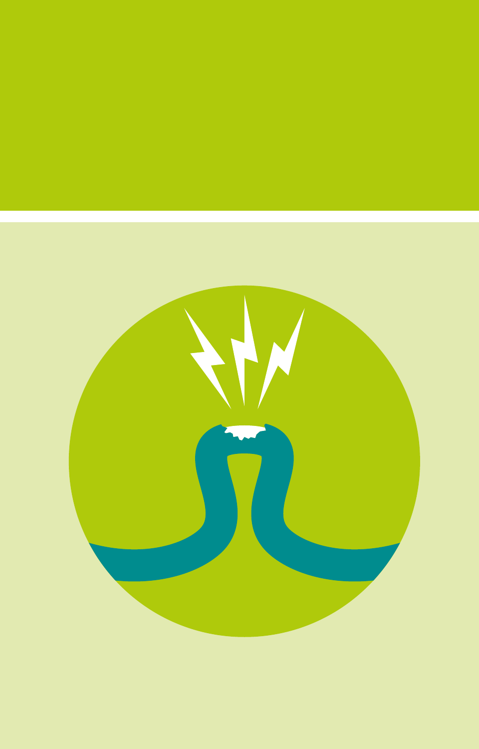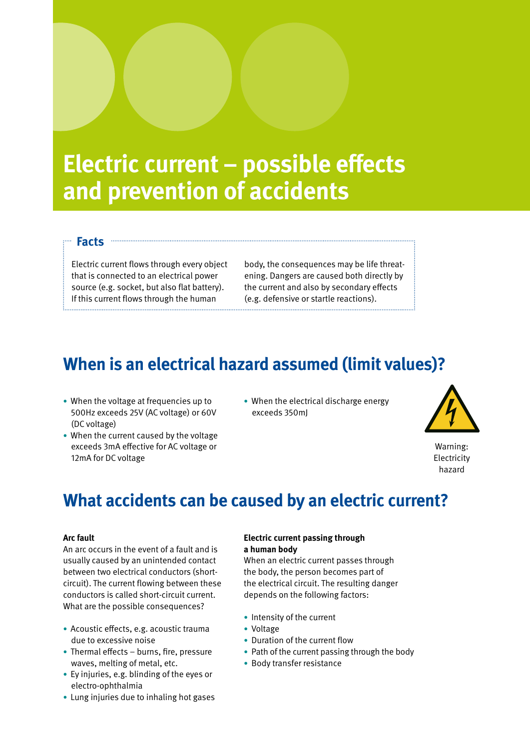# **Electric current – possible effects and prevention of accidents**

## **Facts**

Electric current flows through every object that is connected to an electrical power source (e.g. socket, but also flat battery). If this current flows through the human

body, the consequences may be life threatening. Dangers are caused both directly by the current and also by secondary effects (e.g. defensive or startle reactions).

# **When is an electrical hazard assumed (limit values)?**

- When the voltage at frequencies up to 500Hz exceeds 25V (AC voltage) or 60V (DC voltage)
- When the current caused by the voltage exceeds 3mA effective for AC voltage or 12mA for DC voltage
- When the electrical discharge energy exceeds 350mJ



Warning: Electricity hazard

# **What accidents can be caused by an electric current?**

#### **Arc fault**

An arc occurs in the event of a fault and is usually caused by an unintended contact between two electrical conductors (shortcircuit). The current flowing between these conductors is called short-circuit current. What are the possible consequences?

- Acoustic effects, e.g. acoustic trauma due to excessive noise
- Thermal effects burns, fire, pressure waves, melting of metal, etc.
- Ey injuries, e.g. blinding of the eyes or electro-ophthalmia
- Lung injuries due to inhaling hot gases

#### **Electric current passing through a human body**

When an electric current passes through the body, the person becomes part of the electrical circuit. The resulting danger depends on the following factors:

- Intensity of the current
- Voltage
- Duration of the current flow
- Path of the current passing through the body
- Body transfer resistance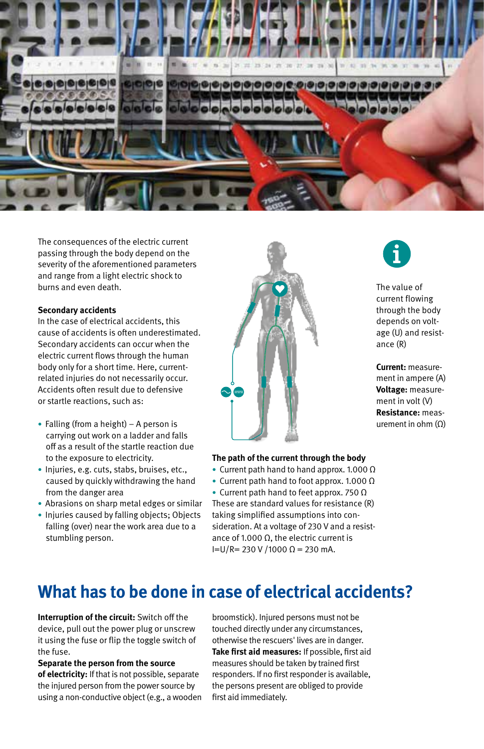

The consequences of the electric current passing through the body depend on the severity of the aforementioned parameters and range from a light electric shock to burns and even death.

#### **Secondary accidents**

In the case of electrical accidents, this cause of accidents is often underestimated. Secondary accidents can occur when the electric current flows through the human body only for a short time. Here, currentrelated injuries do not necessarily occur. Accidents often result due to defensive or startle reactions, such as:

- Falling (from a height) A person is carrying out work on a ladder and falls off as a result of the startle reaction due to the exposure to electricity.
- Injuries, e.g. cuts, stabs, bruises, etc., caused by quickly withdrawing the hand from the danger area
- Abrasions on sharp metal edges or similar
- Injuries caused by falling objects; Objects falling (over) near the work area due to a stumbling person.



#### **The path of the current through the body**

- Current path hand to hand approx. 1.000  $\Omega$
- Current path hand to foot approx. 1.000 Ω
- Current path hand to feet approx. 750  $\Omega$

These are standard values for resistance (R) taking simplified assumptions into consideration. At a voltage of 230 V and a resistance of 1.000  $\Omega$ , the electric current is I=U/R= 230 V /1000 Ω = 230 mA.



The value of current flowing through the body depends on voltage (U) and resistance (R)

**Current:** measurement in ampere (A) **Voltage:** measurement in volt (V) **Resistance:** measurement in ohm  $(Ω)$ 

# **What has to be done in case of electrical accidents?**

**Interruption of the circuit:** Switch off the device, pull out the power plug or unscrew it using the fuse or flip the toggle switch of the fuse.

#### **Separate the person from the source of electricity:** If that is not possible, separate

the injured person from the power source by using a non-conductive object (e.g., a wooden broomstick). Injured persons must not be touched directly under any circumstances, otherwise the rescuers' lives are in danger. **Take first aid measures:** If possible, first aid measures should be taken by trained first responders. If no first responder is available, the persons present are obliged to provide first aid immediately.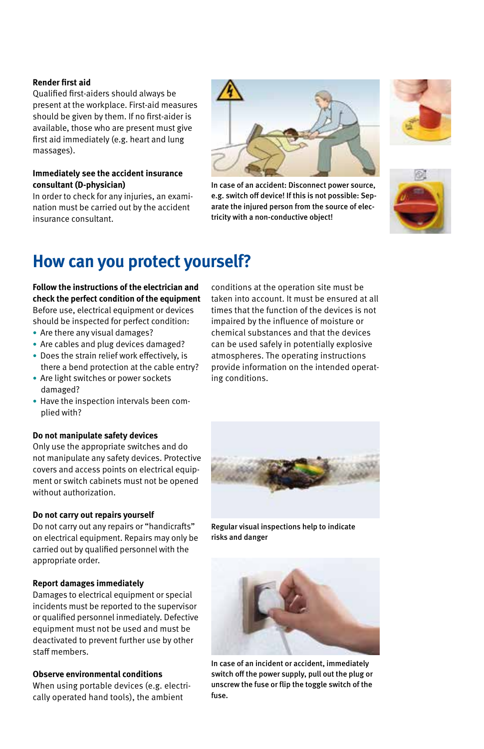#### **Render first aid**

Qualified first-aiders should always be present at the workplace. First-aid measures should be given by them. If no first-aider is available, those who are present must give first aid immediately (e.g. heart and lung massages).

## **Immediately see the accident insurance consultant (D-physician)**

In order to check for any injuries, an examination must be carried out by the accident insurance consultant.



In case of an accident: Disconnect power source, e.g. switch off device! If this is not possible: Separate the injured person from the source of electricity with a non-conductive object!





# **How can you protect yourself?**

### **Follow the instructions of the electrician and check the perfect condition of the equipment** Before use, electrical equipment or devices should be inspected for perfect condition:

- Are there any visual damages?
- Are cables and plug devices damaged?
- Does the strain relief work effectively, is there a bend protection at the cable entry?
- Are light switches or power sockets damaged?
- Have the inspection intervals been complied with?

### **Do not manipulate safety devices**

Only use the appropriate switches and do not manipulate any safety devices. Protective covers and access points on electrical equipment or switch cabinets must not be opened without authorization.

### **Do not carry out repairs yourself**

Do not carry out any repairs or "handicrafts" on electrical equipment. Repairs may only be carried out by qualified personnel with the appropriate order.

#### **Report damages immediately**

Damages to electrical equipment or special incidents must be reported to the supervisor or qualified personnel inmediately. Defective equipment must not be used and must be deactivated to prevent further use by other staff members.

#### **Observe environmental conditions**

When using portable devices (e.g. electrically operated hand tools), the ambient

conditions at the operation site must be taken into account. It must be ensured at all times that the function of the devices is not impaired by the influence of moisture or chemical substances and that the devices can be used safely in potentially explosive atmospheres. The operating instructions provide information on the intended operating conditions.



Regular visual inspections help to indicate risks and danger



In case of an incident or accident, immediately switch off the power supply, pull out the plug or unscrew the fuse or flip the toggle switch of the fuse.